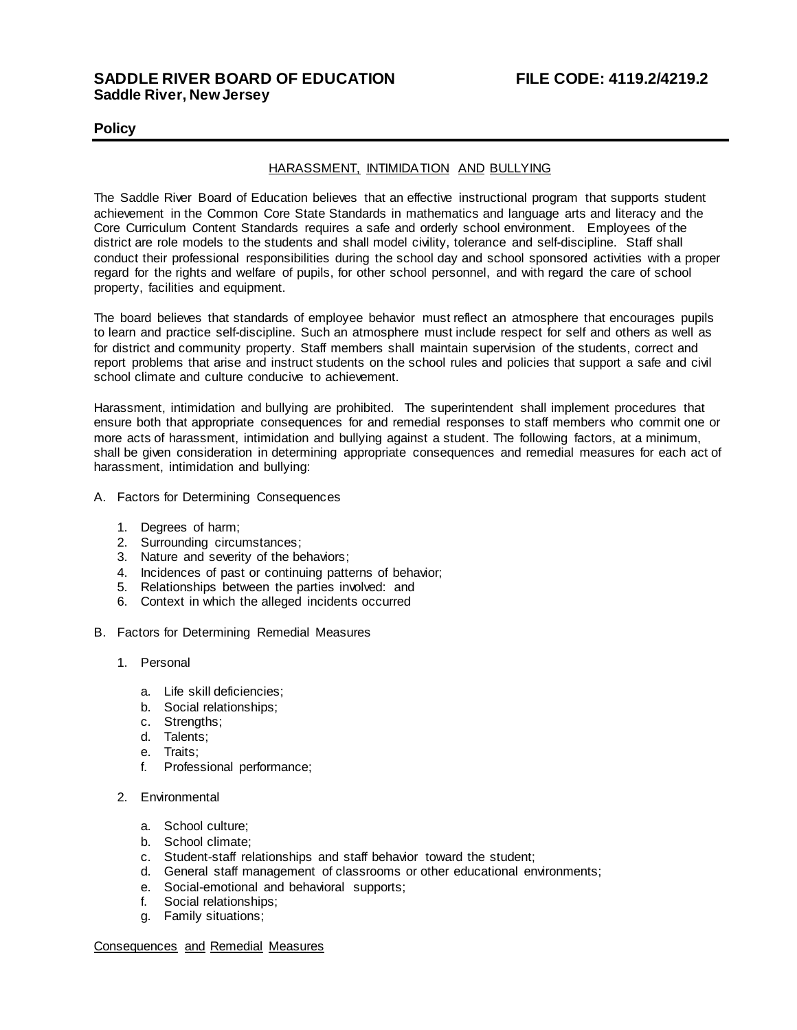# **Policy**

# HARASSMENT, INTIMIDATION AND BULLYING

The Saddle River Board of Education believes that an effective instructional program that supports student achievement in the Common Core State Standards in mathematics and language arts and literacy and the Core Curriculum Content Standards requires a safe and orderly school environment. Employees of the district are role models to the students and shall model civility, tolerance and self-discipline. Staff shall conduct their professional responsibilities during the school day and school sponsored activities with a proper regard for the rights and welfare of pupils, for other school personnel, and with regard the care of school property, facilities and equipment.

The board believes that standards of employee behavior must reflect an atmosphere that encourages pupils to learn and practice self-discipline. Such an atmosphere must include respect for self and others as well as for district and community property. Staff members shall maintain supervision of the students, correct and report problems that arise and instruct students on the school rules and policies that support a safe and civil school climate and culture conducive to achievement.

Harassment, intimidation and bullying are prohibited. The superintendent shall implement procedures that ensure both that appropriate consequences for and remedial responses to staff members who commit one or more acts of harassment, intimidation and bullying against a student. The following factors, at a minimum, shall be given consideration in determining appropriate consequences and remedial measures for each act of harassment, intimidation and bullying:

- A. Factors for Determining Consequences
	- 1. Degrees of harm;
	- 2. Surrounding circumstances;
	- 3. Nature and severity of the behaviors;
	- 4. Incidences of past or continuing patterns of behavior;
	- 5. Relationships between the parties involved: and
	- 6. Context in which the alleged incidents occurred
- B. Factors for Determining Remedial Measures
	- 1. Personal
		- a. Life skill deficiencies;
		- b. Social relationships;
		- c. Strengths;
		- d. Talents;
		- e. Traits;
		- f. Professional performance;
	- 2. Environmental
		- a. School culture;
		- b. School climate;
		- c. Student-staff relationships and staff behavior toward the student;
		- d. General staff management of classrooms or other educational environments;
		- e. Social-emotional and behavioral supports;
		- f. Social relationships;
		- g. Family situations;

Consequences and Remedial Measures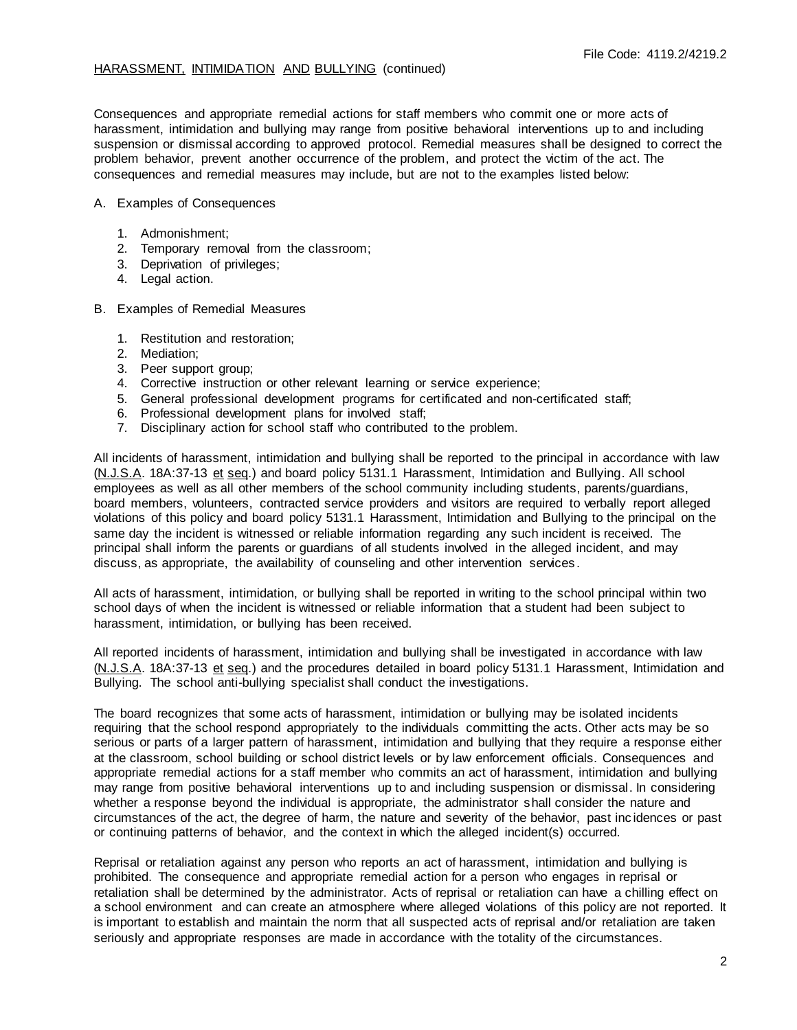## HARASSMENT, INTIMIDATION AND BULLYING (continued)

Consequences and appropriate remedial actions for staff members who commit one or more acts of harassment, intimidation and bullying may range from positive behavioral interventions up to and including suspension or dismissal according to approved protocol. Remedial measures shall be designed to correct the problem behavior, prevent another occurrence of the problem, and protect the victim of the act. The consequences and remedial measures may include, but are not to the examples listed below:

## A. Examples of Consequences

- 1. Admonishment;
- 2. Temporary removal from the classroom;
- 3. Deprivation of privileges;
- 4. Legal action.
- B. Examples of Remedial Measures
	- 1. Restitution and restoration;
	- 2. Mediation;
	- 3. Peer support group;
	- 4. Corrective instruction or other relevant learning or service experience;
	- 5. General professional development programs for certificated and non-certificated staff;
	- 6. Professional development plans for involved staff;
	- 7. Disciplinary action for school staff who contributed to the problem.

All incidents of harassment, intimidation and bullying shall be reported to the principal in accordance with law (N.J.S.A. 18A:37-13 et seq.) and board policy 5131.1 Harassment, Intimidation and Bullying. All school employees as well as all other members of the school community including students, parents/guardians, board members, volunteers, contracted service providers and visitors are required to verbally report alleged violations of this policy and board policy 5131.1 Harassment, Intimidation and Bullying to the principal on the same day the incident is witnessed or reliable information regarding any such incident is received. The principal shall inform the parents or guardians of all students involved in the alleged incident, and may discuss, as appropriate, the availability of counseling and other intervention services .

All acts of harassment, intimidation, or bullying shall be reported in writing to the school principal within two school days of when the incident is witnessed or reliable information that a student had been subject to harassment, intimidation, or bullying has been received.

All reported incidents of harassment, intimidation and bullying shall be investigated in accordance with law (N.J.S.A. 18A:37-13 et seg.) and the procedures detailed in board policy 5131.1 Harassment, Intimidation and Bullying. The school anti-bullying specialist shall conduct the investigations.

The board recognizes that some acts of harassment, intimidation or bullying may be isolated incidents requiring that the school respond appropriately to the individuals committing the acts. Other acts may be so serious or parts of a larger pattern of harassment, intimidation and bullying that they require a response either at the classroom, school building or school district levels or by law enforcement officials. Consequences and appropriate remedial actions for a staff member who commits an act of harassment, intimidation and bullying may range from positive behavioral interventions up to and including suspension or dismissal. In considering whether a response beyond the individual is appropriate, the administrator shall consider the nature and circumstances of the act, the degree of harm, the nature and severity of the behavior, past inc idences or past or continuing patterns of behavior, and the context in which the alleged incident(s) occurred.

Reprisal or retaliation against any person who reports an act of harassment, intimidation and bullying is prohibited. The consequence and appropriate remedial action for a person who engages in reprisal or retaliation shall be determined by the administrator. Acts of reprisal or retaliation can have a chilling effect on a school environment and can create an atmosphere where alleged violations of this policy are not reported. It is important to establish and maintain the norm that all suspected acts of reprisal and/or retaliation are taken seriously and appropriate responses are made in accordance with the totality of the circumstances.